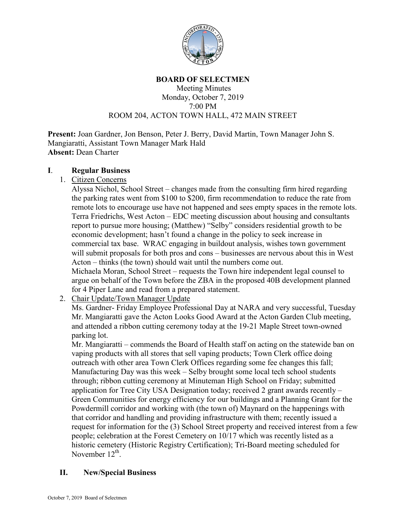

# **BOARD OF SELECTMEN**

#### Meeting Minutes Monday, October 7, 2019 7:00 PM ROOM 204, ACTON TOWN HALL, 472 MAIN STREET

**Present:** Joan Gardner, Jon Benson, Peter J. Berry, David Martin, Town Manager John S. Mangiaratti, Assistant Town Manager Mark Hald **Absent:** Dean Charter

#### **I**. **Regular Business**

1. Citizen Concerns

Alyssa Nichol, School Street – changes made from the consulting firm hired regarding the parking rates went from \$100 to \$200, firm recommendation to reduce the rate from remote lots to encourage use have not happened and sees empty spaces in the remote lots. Terra Friedrichs, West Acton – EDC meeting discussion about housing and consultants report to pursue more housing; (Matthew) "Selby" considers residential growth to be economic development; hasn't found a change in the policy to seek increase in commercial tax base. WRAC engaging in buildout analysis, wishes town government will submit proposals for both pros and cons – businesses are nervous about this in West Acton – thinks (the town) should wait until the numbers come out. Michaela Moran, School Street – requests the Town hire independent legal counsel to argue on behalf of the Town before the ZBA in the proposed 40B development planned for 4 Piper Lane and read from a prepared statement.

2. Chair Update/Town Manager Update

Ms. Gardner- Friday Employee Professional Day at NARA and very successful, Tuesday Mr. Mangiaratti gave the Acton Looks Good Award at the Acton Garden Club meeting, and attended a ribbon cutting ceremony today at the 19-21 Maple Street town-owned parking lot.

Mr. Mangiaratti – commends the Board of Health staff on acting on the statewide ban on vaping products with all stores that sell vaping products; Town Clerk office doing outreach with other area Town Clerk Offices regarding some fee changes this fall; Manufacturing Day was this week – Selby brought some local tech school students through; ribbon cutting ceremony at Minuteman High School on Friday; submitted application for Tree City USA Designation today; received 2 grant awards recently – Green Communities for energy efficiency for our buildings and a Planning Grant for the Powdermill corridor and working with (the town of) Maynard on the happenings with that corridor and handling and providing infrastructure with them; recently issued a request for information for the (3) School Street property and received interest from a few people; celebration at the Forest Cemetery on 10/17 which was recently listed as a historic cemetery (Historic Registry Certification); Tri-Board meeting scheduled for November  $12^{th}$ .

### **II. New/Special Business**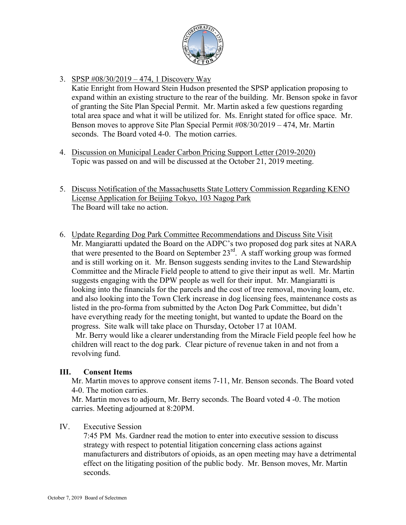

# 3. SPSP #08/30/2019 – 474, 1 Discovery Way

Katie Enright from Howard Stein Hudson presented the SPSP application proposing to expand within an existing structure to the rear of the building. Mr. Benson spoke in favor of granting the Site Plan Special Permit. Mr. Martin asked a few questions regarding total area space and what it will be utilized for. Ms. Enright stated for office space. Mr. Benson moves to approve Site Plan Special Permit #08/30/2019 – 474, Mr. Martin seconds. The Board voted 4-0. The motion carries.

- 4. Discussion on Municipal Leader Carbon Pricing Support Letter (2019-2020) Topic was passed on and will be discussed at the October 21, 2019 meeting.
- 5. Discuss Notification of the Massachusetts State Lottery Commission Regarding KENO License Application for Beijing Tokyo, 103 Nagog Park The Board will take no action.
- 6. Update Regarding Dog Park Committee Recommendations and Discuss Site Visit Mr. Mangiaratti updated the Board on the ADPC's two proposed dog park sites at NARA that were presented to the Board on September  $23<sup>rd</sup>$ . A staff working group was formed and is still working on it. Mr. Benson suggests sending invites to the Land Stewardship Committee and the Miracle Field people to attend to give their input as well. Mr. Martin suggests engaging with the DPW people as well for their input. Mr. Mangiaratti is looking into the financials for the parcels and the cost of tree removal, moving loam, etc. and also looking into the Town Clerk increase in dog licensing fees, maintenance costs as listed in the pro-forma from submitted by the Acton Dog Park Committee, but didn't have everything ready for the meeting tonight, but wanted to update the Board on the progress. Site walk will take place on Thursday, October 17 at 10AM.

 Mr. Berry would like a clearer understanding from the Miracle Field people feel how he children will react to the dog park. Clear picture of revenue taken in and not from a revolving fund.

### **III. Consent Items**

Mr. Martin moves to approve consent items 7-11, Mr. Benson seconds. The Board voted 4-0. The motion carries.

Mr. Martin moves to adjourn, Mr. Berry seconds. The Board voted 4 -0. The motion carries. Meeting adjourned at 8:20PM.

### IV. Executive Session

7:45 PM Ms. Gardner read the motion to enter into executive session to discuss strategy with respect to potential litigation concerning class actions against manufacturers and distributors of opioids, as an open meeting may have a detrimental effect on the litigating position of the public body. Mr. Benson moves, Mr. Martin seconds.